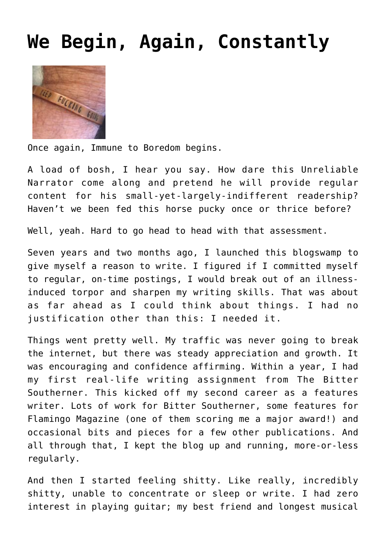## **[We Begin, Again, Constantly](http://www.immunetoboredom.com/we-begin-again-constantly/)**



Once again, Immune to Boredom begins.

A load of bosh, I hear you say. How dare this Unreliable Narrator come along and pretend he will provide regular content for his small-yet-largely-indifferent readership? Haven't we been fed this horse pucky once or thrice before?

Well, yeah. Hard to go head to head with that assessment.

Seven years and two months ago, [I launched this blogswamp](http://www.immunetoboredom.com/hero-worship-and-moral-uncertainty/) to give myself a reason to write. I figured if I committed myself to regular, on-time postings, I would break out of an [illness](http://www.immunetoboredom.com/now-you-know-what-i-did-last-summer/)[induced torpor](http://www.immunetoboredom.com/now-you-know-what-i-did-last-summer/) and sharpen my writing skills. That was about as far ahead as I could think about things. I had no justification other than this: I needed it.

Things went pretty well. My traffic was never going to break the internet, but there was steady appreciation and growth. It was encouraging and confidence affirming. Within a year, I had my first real-life writing assignment from [The Bitter](https://bittersoutherner.com/kosher-gumbo-panorama-brass-band#.YeoDff7MJqM) [Southerner.](https://bittersoutherner.com/kosher-gumbo-panorama-brass-band#.YeoDff7MJqM) This kicked off my second career as a features writer. Lots of work for Bitter Southerner, some features for Flamingo Magazine ([one of them](https://www.flamingomag.com/2018/08/27/george-clinton/) scoring me a major award!) and occasional bits and pieces for a few other publications. And all through that, I kept the blog up and running, more-or-less regularly.

And then I started feeling shitty. Like really, incredibly shitty, unable to concentrate or sleep or write. I had zero interest in playing guitar; my best friend and longest musical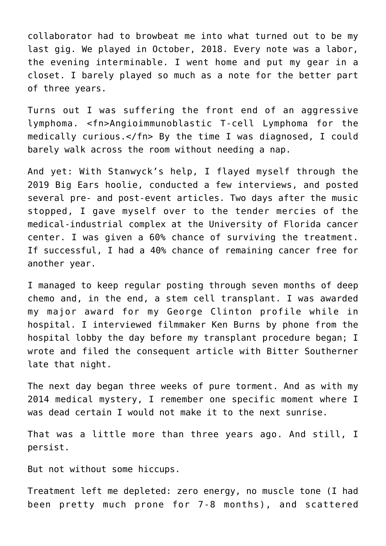collaborator had to browbeat me into what turned out to be my last gig. We played in October, 2018. Every note was a labor, the evening interminable. I went home and put my gear in a closet. I barely played so much as a note for the better part of three years.

Turns out I was suffering the front end of an aggressive lymphoma. <fn>Angioimmunoblastic T-cell Lymphoma for the medically curious.</fn> By the time I was diagnosed, I could barely walk across the room without needing a nap.

And yet: With Stanwyck's help, I flayed myself through the 2019 Big Ears hoolie, conducted a few interviews, and posted several pre- and post-event articles. Two days after the music stopped, I gave myself over to the tender mercies of the medical-industrial complex at the University of Florida cancer center. I was given a 60% chance of surviving the treatment. If successful, I had a 40% chance of remaining cancer free for another year.

I managed to keep regular posting through seven months of deep chemo and, in the end, a stem cell transplant. I was awarded my major award for my George Clinton profile while in hospital. I interviewed filmmaker Ken Burns by phone from the hospital lobby the day before my transplant procedure began; I wrote and filed [the consequent article](https://bittersoutherner.com/whos-country-ken-burns-country-music-rhiannon-giddens) with Bitter Southerner late that night.

The next day began [three weeks of pure torment](http://www.immunetoboredom.com/let-us-pause/). And as with my 2014 medical mystery, I remember one specific moment where I was dead certain I would not make it to the next sunrise.

That was a little more than three years ago. And still, I persist.

But not without some hiccups.

Treatment left me depleted: zero energy, no muscle tone (I had been pretty much prone for 7-8 months), and scattered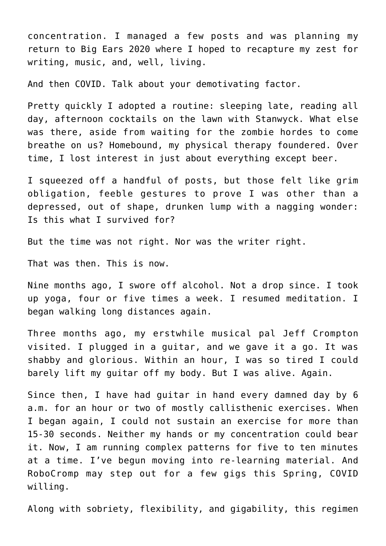concentration. I managed a few posts and was planning my return to Big Ears 2020 where I hoped to recapture my zest for writing, music, and, well, living.

And then COVID. Talk about your demotivating factor.

Pretty quickly I adopted a routine: sleeping late, reading all day, afternoon cocktails on the lawn with Stanwyck. What else was there, aside from waiting for the zombie hordes to come breathe on us? Homebound, my physical therapy foundered. Over time, I lost interest in just about everything except beer.

I squeezed off a handful of posts, but those felt like grim obligation, feeble gestures to prove I was other than a depressed, out of shape, drunken lump with a nagging wonder: Is this what I survived for?

But the time was not right. Nor was the writer right.

That was then. This is now.

Nine months ago, I swore off alcohol. Not a drop since. I took up yoga, four or five times a week. I resumed meditation. I began walking long distances again.

Three months ago, my erstwhile musical pal [Jeff Crompton](https://jeffcrompton.bandcamp.com/) visited. I plugged in a guitar, and we gave it a go. It was shabby and glorious. Within an hour, I was so tired I could barely lift my guitar off my body. But I was alive. Again.

Since then, I have had guitar in hand every damned day by 6 a.m. for an hour or two of mostly callisthenic exercises. When I began again, I could not sustain an exercise for more than 15-30 seconds. Neither my hands or my concentration could bear it. Now, I am running complex patterns for five to ten minutes at a time. I've begun moving into re-learning material. And [RoboCromp](https://jeffcrompton.bandcamp.com/album/but-does-it-swing) may step out for a few gigs this Spring, COVID willing.

Along with sobriety, flexibility, and gigability, this regimen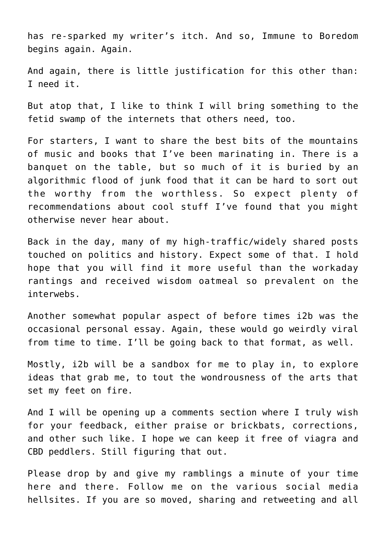has re-sparked my writer's itch. And so, Immune to Boredom begins again. Again.

And again, there is little justification for this other than: I need it.

But atop that, I like to think I will bring something to the fetid swamp of the internets that others need, too.

For starters, I want to share the best bits of the mountains of music and books that I've been marinating in. There is a banquet on the table, but so much of it is buried by an algorithmic flood of junk food that it can be hard to sort out the worthy from the worthless. So expect plenty of recommendations about cool stuff I've found that you might otherwise never hear about.

Back in the day, many of my high-traffic/widely shared posts touched on politics and history. Expect some of that. I hold hope that you will find it more useful than the workaday rantings and received wisdom oatmeal so prevalent on the interwebs.

Another somewhat popular aspect of before times i2b was the occasional personal essay. Again, these would go weirdly viral from time to time. I'll be going back to that format, as well.

Mostly, i2b will be a sandbox for me to play in, to explore ideas that grab me, to tout the wondrousness of the arts that set my feet on fire.

And I will be opening up a comments section where I truly wish for your feedback, either praise or brickbats, corrections, and other such like. I hope we can keep it free of viagra and CBD peddlers. Still figuring that out.

Please drop by and give my ramblings a minute of your time here and there. Follow me on the various social media hellsites. If you are so moved, sharing and retweeting and all